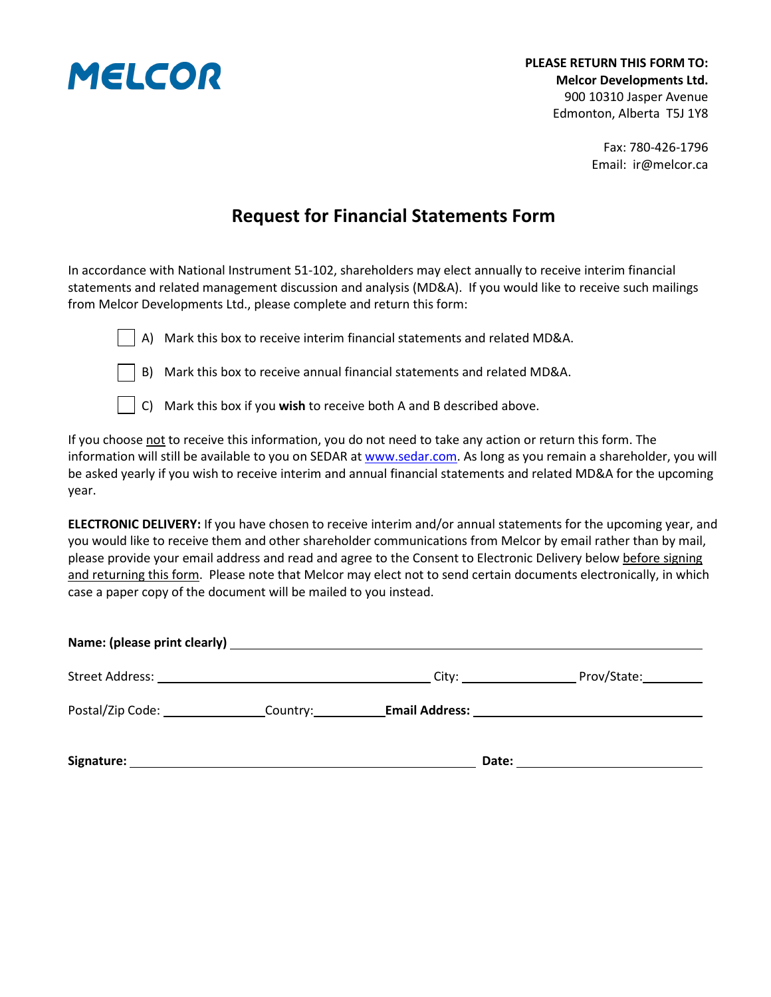

Fax: 780-426-1796 Email: ir@melcor.ca

## **Request for Financial Statements Form**

In accordance with National Instrument 51-102, shareholders may elect annually to receive interim financial statements and related management discussion and analysis (MD&A). If you would like to receive such mailings from Melcor Developments Ltd., please complete and return this form:



A) Mark this box to receive interim financial statements and related MD&A.

B) Mark this box to receive annual financial statements and related MD&A.



C) Mark this box if you **wish** to receive both A and B described above.

If you choose not to receive this information, you do not need to take any action or return this form. The information will still be available to you on SEDAR at [www.sedar.com.](http://www.sedar.com/) As long as you remain a shareholder, you will be asked yearly if you wish to receive interim and annual financial statements and related MD&A for the upcoming year.

**ELECTRONIC DELIVERY:** If you have chosen to receive interim and/or annual statements for the upcoming year, and you would like to receive them and other shareholder communications from Melcor by email rather than by mail, please provide your email address and read and agree to the Consent to Electronic Delivery below before signing and returning this form. Please note that Melcor may elect not to send certain documents electronically, in which case a paper copy of the document will be mailed to you instead.

|                                                                                                                                                                                                                                |                                                                                                      | Prov/State: |
|--------------------------------------------------------------------------------------------------------------------------------------------------------------------------------------------------------------------------------|------------------------------------------------------------------------------------------------------|-------------|
|                                                                                                                                                                                                                                | Postal/Zip Code: _________________Country: ___________Email Address: _______________________________ |             |
| Signature: Signature: Signature: Signature: Signature: Signature: Signature: Signature: Signature: Signature: Signature: Signature: Signature: Signature: Signature: Signature: Signature: Signature: Signature: Signature: Si |                                                                                                      |             |